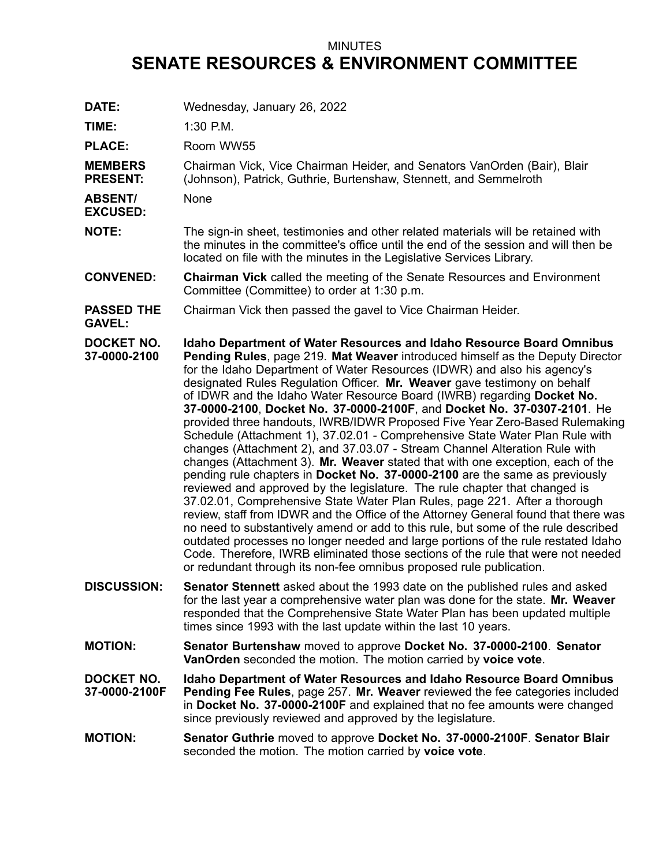## MINUTES

## **SENATE RESOURCES & ENVIRONMENT COMMITTEE**

**DATE:** Wednesday, January 26, 2022

**TIME:** 1:30 P.M.

**PLACE:** Room WW55

**MEMBERS PRESENT:** Chairman Vick, Vice Chairman Heider, and Senators VanOrden (Bair), Blair (Johnson), Patrick, Guthrie, Burtenshaw, Stennett, and Semmelroth

**ABSENT/** None

- **EXCUSED:**
- **NOTE:** The sign-in sheet, testimonies and other related materials will be retained with the minutes in the committee's office until the end of the session and will then be located on file with the minutes in the Legislative Services Library.
- **CONVENED: Chairman Vick** called the meeting of the Senate Resources and Environment Committee (Committee) to order at 1:30 p.m.
- **PASSED THE** Chairman Vick then passed the gavel to Vice Chairman Heider.

**GAVEL:**

- **DOCKET NO. 37-0000-2100 Idaho Department of Water Resources and Idaho Resource Board Omnibus Pending Rules**, page 219. **Mat Weaver** introduced himself as the Deputy Director for the Idaho Department of Water Resources (IDWR) and also his agency's designated Rules Regulation Officer. **Mr. Weaver** gave testimony on behalf of IDWR and the Idaho Water Resource Board (IWRB) regarding **Docket No. 37-0000-2100**, **Docket No. 37-0000-2100F**, and **Docket No. 37-0307-2101**. He provided three handouts, IWRB/IDWR Proposed Five Year Zero-Based Rulemaking Schedule (Attachment 1), 37.02.01 - Comprehensive State Water Plan Rule with changes (Attachment 2), and 37.03.07 - Stream Channel Alteration Rule with changes (Attachment 3). **Mr. Weaver** stated that with one exception, each of the pending rule chapters in **Docket No. 37-0000-2100** are the same as previously reviewed and approved by the legislature. The rule chapter that changed is 37.02.01, Comprehensive State Water Plan Rules, page 221. After <sup>a</sup> thorough review, staff from IDWR and the Office of the Attorney General found that there was no need to substantively amend or add to this rule, but some of the rule described outdated processes no longer needed and large portions of the rule restated Idaho Code. Therefore, IWRB eliminated those sections of the rule that were not needed or redundant through its non-fee omnibus proposed rule publication.
- **DISCUSSION: Senator Stennett** asked about the 1993 date on the published rules and asked for the last year <sup>a</sup> comprehensive water plan was done for the state. **Mr. Weaver** responded that the Comprehensive State Water Plan has been updated multiple times since 1993 with the last update within the last 10 years.
- **MOTION: Senator Burtenshaw** moved to approve **Docket No. 37-0000-2100**. **Senator VanOrden** seconded the motion. The motion carried by **voice vote**.

**DOCKET NO. 37-0000-2100F Idaho Department of Water Resources and Idaho Resource Board Omnibus Pending Fee Rules**, page 257. **Mr. Weaver** reviewed the fee categories included in **Docket No. 37-0000-2100F** and explained that no fee amounts were changed since previously reviewed and approved by the legislature.

**MOTION: Senator Guthrie** moved to approve **Docket No. 37-0000-2100F**. **Senator Blair** seconded the motion. The motion carried by **voice vote**.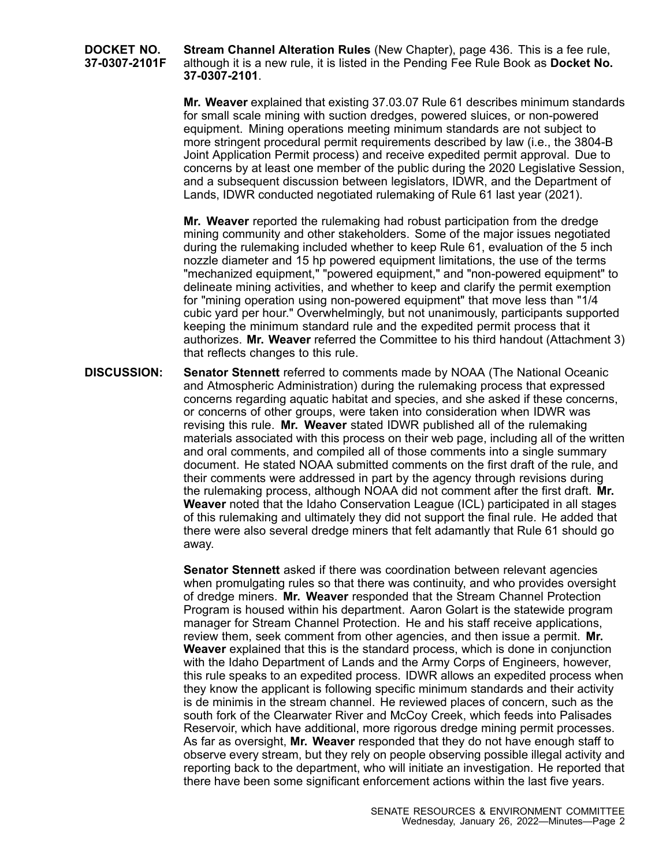**DOCKET NO. 37-0307-2101F Stream Channel Alteration Rules** (New Chapter), page 436. This is <sup>a</sup> fee rule, although it is <sup>a</sup> new rule, it is listed in the Pending Fee Rule Book as **Docket No. 37-0307-2101**.

> **Mr. Weaver** explained that existing 37.03.07 Rule 61 describes minimum standards for small scale mining with suction dredges, powered sluices, or non-powered equipment. Mining operations meeting minimum standards are not subject to more stringent procedural permit requirements described by law (i.e., the 3804-B Joint Application Permit process) and receive expedited permit approval. Due to concerns by at least one member of the public during the 2020 Legislative Session, and <sup>a</sup> subsequent discussion between legislators, IDWR, and the Department of Lands, IDWR conducted negotiated rulemaking of Rule 61 last year (2021).

> **Mr. Weaver** reported the rulemaking had robust participation from the dredge mining community and other stakeholders. Some of the major issues negotiated during the rulemaking included whether to keep Rule 61, evaluation of the 5 inch nozzle diameter and 15 hp powered equipment limitations, the use of the terms "mechanized equipment," "powered equipment," and "non-powered equipment" to delineate mining activities, and whether to keep and clarify the permit exemption for "mining operation using non-powered equipment" that move less than "1/4 cubic yard per hour." Overwhelmingly, but not unanimously, participants supported keeping the minimum standard rule and the expedited permit process that it authorizes. **Mr. Weaver** referred the Committee to his third handout (Attachment 3) that reflects changes to this rule.

**DISCUSSION: Senator Stennett** referred to comments made by NOAA (The National Oceanic and Atmospheric Administration) during the rulemaking process that expressed concerns regarding aquatic habitat and species, and she asked if these concerns, or concerns of other groups, were taken into consideration when IDWR was revising this rule. **Mr. Weaver** stated IDWR published all of the rulemaking materials associated with this process on their web page, including all of the written and oral comments, and compiled all of those comments into <sup>a</sup> single summary document. He stated NOAA submitted comments on the first draft of the rule, and their comments were addressed in part by the agency through revisions during the rulemaking process, although NOAA did not comment after the first draft. **Mr. Weaver** noted that the Idaho Conservation League (ICL) participated in all stages of this rulemaking and ultimately they did not support the final rule. He added that there were also several dredge miners that felt adamantly that Rule 61 should go away.

> **Senator Stennett** asked if there was coordination between relevant agencies when promulgating rules so that there was continuity, and who provides oversight of dredge miners. **Mr. Weaver** responded that the Stream Channel Protection Program is housed within his department. Aaron Golart is the statewide program manager for Stream Channel Protection. He and his staff receive applications, review them, seek comment from other agencies, and then issue <sup>a</sup> permit. **Mr. Weaver** explained that this is the standard process, which is done in conjunction with the Idaho Department of Lands and the Army Corps of Engineers, however, this rule speaks to an expedited process. IDWR allows an expedited process when they know the applicant is following specific minimum standards and their activity is de minimis in the stream channel. He reviewed places of concern, such as the south fork of the Clearwater River and McCoy Creek, which feeds into Palisades Reservoir, which have additional, more rigorous dredge mining permit processes. As far as oversight, **Mr. Weaver** responded that they do not have enough staff to observe every stream, but they rely on people observing possible illegal activity and reporting back to the department, who will initiate an investigation. He reported that there have been some significant enforcement actions within the last five years.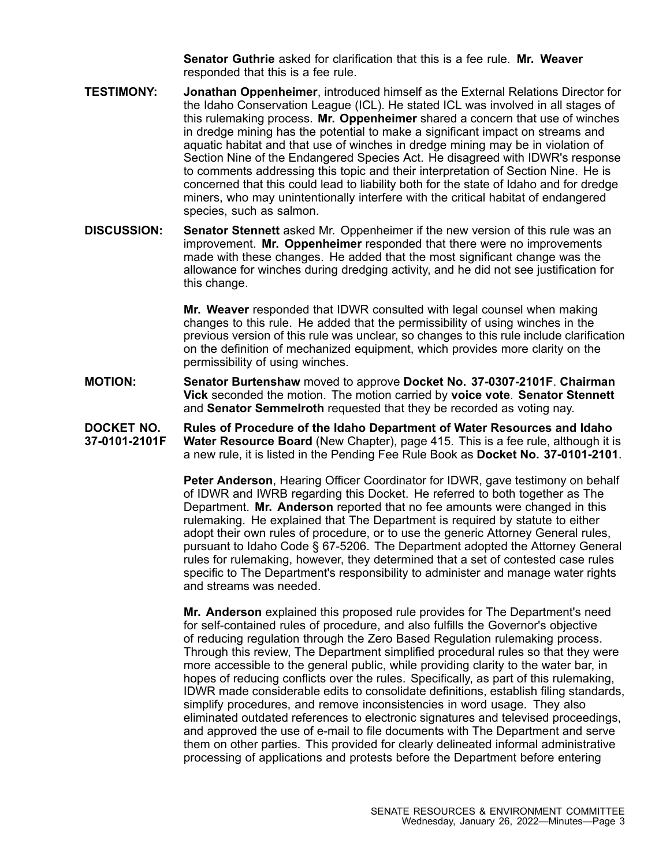**Senator Guthrie** asked for clarification that this is a fee rule. **Mr. Weaver** responded that this is <sup>a</sup> fee rule.

- **TESTIMONY: Jonathan Oppenheimer**, introduced himself as the External Relations Director for the Idaho Conservation League (ICL). He stated ICL was involved in all stages of this rulemaking process. **Mr. Oppenheimer** shared <sup>a</sup> concern that use of winches in dredge mining has the potential to make <sup>a</sup> significant impact on streams and aquatic habitat and that use of winches in dredge mining may be in violation of Section Nine of the Endangered Species Act. He disagreed with IDWR's response to comments addressing this topic and their interpretation of Section Nine. He is concerned that this could lead to liability both for the state of Idaho and for dredge miners, who may unintentionally interfere with the critical habitat of endangered species, such as salmon.
- **DISCUSSION: Senator Stennett** asked Mr. Oppenheimer if the new version of this rule was an improvement. **Mr. Oppenheimer** responded that there were no improvements made with these changes. He added that the most significant change was the allowance for winches during dredging activity, and he did not see justification for this change.

**Mr. Weaver** responded that IDWR consulted with legal counsel when making changes to this rule. He added that the permissibility of using winches in the previous version of this rule was unclear, so changes to this rule include clarification on the definition of mechanized equipment, which provides more clarity on the permissibility of using winches.

- **MOTION: Senator Burtenshaw** moved to approve **Docket No. 37-0307-2101F**. **Chairman Vick** seconded the motion. The motion carried by **voice vote**. **Senator Stennett** and **Senator Semmelroth** requested that they be recorded as voting nay.
- **DOCKET NO. 37-0101-2101F Rules of Procedure of the Idaho Department of Water Resources and Idaho Water Resource Board** (New Chapter), page 415. This is <sup>a</sup> fee rule, although it is <sup>a</sup> new rule, it is listed in the Pending Fee Rule Book as **Docket No. 37-0101-2101**.

**Peter Anderson**, Hearing Officer Coordinator for IDWR, gave testimony on behalf of IDWR and IWRB regarding this Docket. He referred to both together as The Department. **Mr. Anderson** reported that no fee amounts were changed in this rulemaking. He explained that The Department is required by statute to either adopt their own rules of procedure, or to use the generic Attorney General rules, pursuant to Idaho Code § 67-5206. The Department adopted the Attorney General rules for rulemaking, however, they determined that <sup>a</sup> set of contested case rules specific to The Department's responsibility to administer and manage water rights and streams was needed.

**Mr. Anderson** explained this proposed rule provides for The Department's need for self-contained rules of procedure, and also fulfills the Governor's objective of reducing regulation through the Zero Based Regulation rulemaking process. Through this review, The Department simplified procedural rules so that they were more accessible to the general public, while providing clarity to the water bar, in hopes of reducing conflicts over the rules. Specifically, as part of this rulemaking, IDWR made considerable edits to consolidate definitions, establish filing standards, simplify procedures, and remove inconsistencies in word usage. They also eliminated outdated references to electronic signatures and televised proceedings, and approved the use of e-mail to file documents with The Department and serve them on other parties. This provided for clearly delineated informal administrative processing of applications and protests before the Department before entering